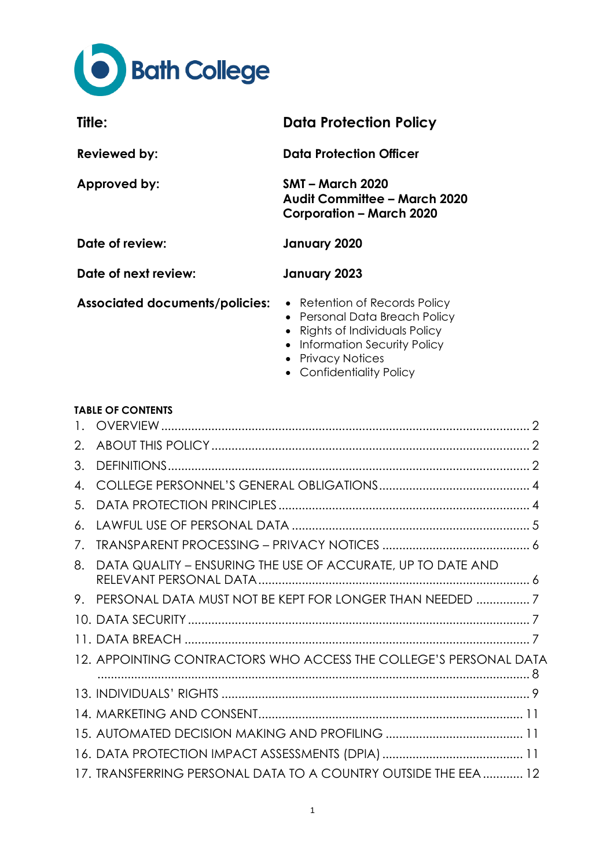

| Title:                                | <b>Data Protection Policy</b>                                                                                                     |
|---------------------------------------|-----------------------------------------------------------------------------------------------------------------------------------|
| <b>Reviewed by:</b>                   | <b>Data Protection Officer</b>                                                                                                    |
| Approved by:                          | <b>SMT – March 2020</b><br>Audit Committee - March 2020<br><b>Corporation - March 2020</b>                                        |
| Date of review:                       | January 2020                                                                                                                      |
| Date of next review:                  | January 2023                                                                                                                      |
| <b>Associated documents/policies:</b> | • Retention of Records Policy<br>• Personal Data Breach Policy<br>• Rights of Individuals Policy<br>• Information Security Policy |

- Privacy Notices
- Confidentiality Policy

## **TABLE OF CONTENTS**

| 3. |                                                                   |  |
|----|-------------------------------------------------------------------|--|
| 4  |                                                                   |  |
| 5. |                                                                   |  |
| 6. |                                                                   |  |
| 7. |                                                                   |  |
| 8. | DATA QUALITY - ENSURING THE USE OF ACCURATE, UP TO DATE AND       |  |
| 9. |                                                                   |  |
|    |                                                                   |  |
|    |                                                                   |  |
|    | 12. APPOINTING CONTRACTORS WHO ACCESS THE COLLEGE'S PERSONAL DATA |  |
|    |                                                                   |  |
|    |                                                                   |  |
|    |                                                                   |  |
|    |                                                                   |  |
|    | 17. TRANSFERRING PERSONAL DATA TO A COUNTRY OUTSIDE THE EEA  12   |  |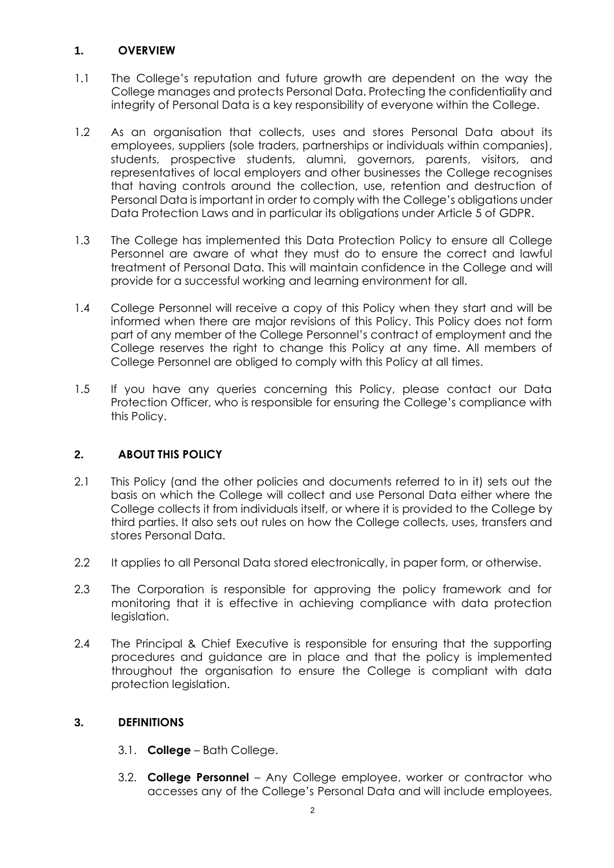## <span id="page-1-0"></span>**1. OVERVIEW**

- 1.1 The College's reputation and future growth are dependent on the way the College manages and protects Personal Data. Protecting the confidentiality and integrity of Personal Data is a key responsibility of everyone within the College.
- 1.2 As an organisation that collects, uses and stores Personal Data about its employees, suppliers (sole traders, partnerships or individuals within companies), students, prospective students, alumni, governors, parents, visitors, and representatives of local employers and other businesses the College recognises that having controls around the collection, use, retention and destruction of Personal Data is important in order to comply with the College's obligations under Data Protection Laws and in particular its obligations under Article 5 of GDPR.
- 1.3 The College has implemented this Data Protection Policy to ensure all College Personnel are aware of what they must do to ensure the correct and lawful treatment of Personal Data. This will maintain confidence in the College and will provide for a successful working and learning environment for all.
- 1.4 College Personnel will receive a copy of this Policy when they start and will be informed when there are major revisions of this Policy. This Policy does not form part of any member of the College Personnel's contract of employment and the College reserves the right to change this Policy at any time. All members of College Personnel are obliged to comply with this Policy at all times.
- 1.5 If you have any queries concerning this Policy, please contact our Data Protection Officer, who is responsible for ensuring the College's compliance with this Policy.

# <span id="page-1-1"></span>**2. ABOUT THIS POLICY**

- 2.1 This Policy (and the other policies and documents referred to in it) sets out the basis on which the College will collect and use Personal Data either where the College collects it from individuals itself, or where it is provided to the College by third parties. It also sets out rules on how the College collects, uses, transfers and stores Personal Data.
- 2.2 It applies to all Personal Data stored electronically, in paper form, or otherwise.
- 2.3 The Corporation is responsible for approving the policy framework and for monitoring that it is effective in achieving compliance with data protection legislation.
- 2.4 The Principal & Chief Executive is responsible for ensuring that the supporting procedures and guidance are in place and that the policy is implemented throughout the organisation to ensure the College is compliant with data protection legislation.

## <span id="page-1-2"></span>**3. DEFINITIONS**

- 3.1. **College** Bath College.
- 3.2. **College Personnel** Any College employee, worker or contractor who accesses any of the College's Personal Data and will include employees,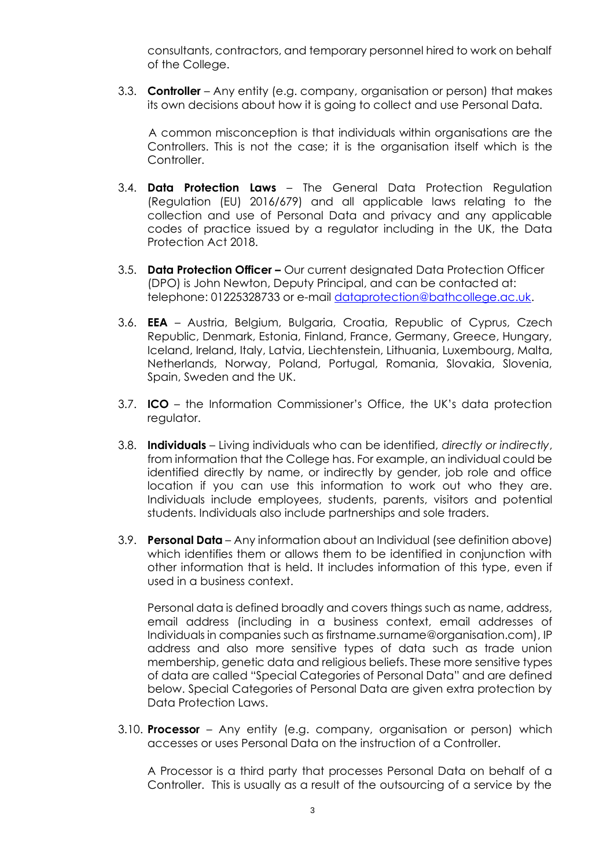consultants, contractors, and temporary personnel hired to work on behalf of the College.

3.3. **Controller** – Any entity (e.g. company, organisation or person) that makes its own decisions about how it is going to collect and use Personal Data.

A common misconception is that individuals within organisations are the Controllers. This is not the case; it is the organisation itself which is the **Controller** 

- 3.4. **Data Protection Laws**  The General Data Protection Regulation (Regulation (EU) 2016/679) and all applicable laws relating to the collection and use of Personal Data and privacy and any applicable codes of practice issued by a regulator including in the UK, the Data Protection Act 2018.
- 3.5. **Data Protection Officer –** Our current designated Data Protection Officer (DPO) is John Newton, Deputy Principal, and can be contacted at: telephone: 01225328733 or e-mail [dataprotection@bathcollege.ac.uk.](mailto:dataprotection@bathcollege.ac.uk)
- 3.6. **EEA** Austria, Belgium, Bulgaria, Croatia, Republic of Cyprus, Czech Republic, Denmark, Estonia, Finland, France, Germany, Greece, Hungary, Iceland, Ireland, Italy, Latvia, Liechtenstein, Lithuania, Luxembourg, Malta, Netherlands, Norway, Poland, Portugal, Romania, Slovakia, Slovenia, Spain, Sweden and the UK.
- 3.7. **ICO**  the Information Commissioner's Office, the UK's data protection regulator.
- 3.8. **Individuals** Living individuals who can be identified, *directly or indirectly*, from information that the College has. For example, an individual could be identified directly by name, or indirectly by gender, job role and office location if you can use this information to work out who they are. Individuals include employees, students, parents, visitors and potential students. Individuals also include partnerships and sole traders.
- 3.9. **Personal Data** Any information about an Individual (see definition above) which identifies them or allows them to be identified in conjunction with other information that is held. It includes information of this type, even if used in a business context.

Personal data is defined broadly and covers things such as name, address, email address (including in a business context, email addresses of Individuals in companies such as firstname.surname@organisation.com), IP address and also more sensitive types of data such as trade union membership, genetic data and religious beliefs. These more sensitive types of data are called "Special Categories of Personal Data" and are defined below. Special Categories of Personal Data are given extra protection by Data Protection Laws.

3.10. **Processor** – Any entity (e.g. company, organisation or person) which accesses or uses Personal Data on the instruction of a Controller.

A Processor is a third party that processes Personal Data on behalf of a Controller. This is usually as a result of the outsourcing of a service by the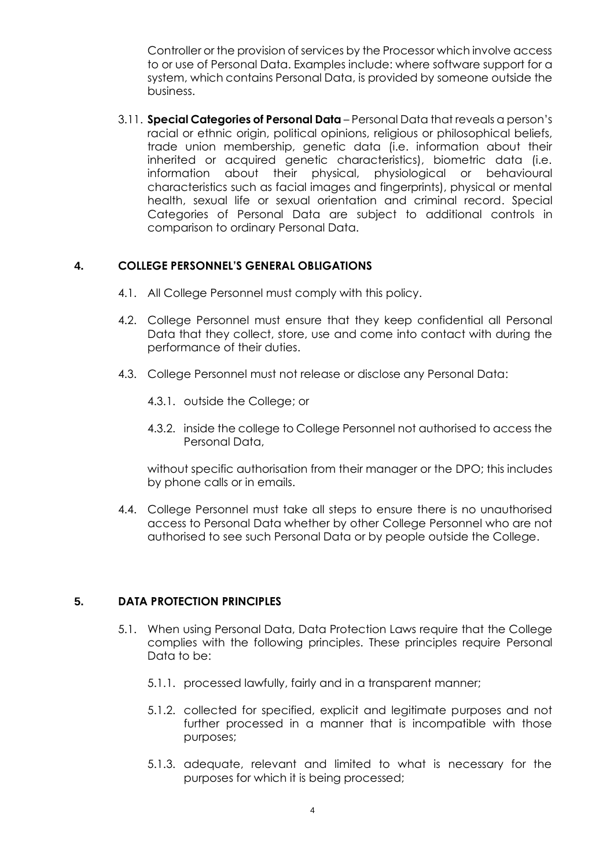Controller or the provision of services by the Processor which involve access to or use of Personal Data. Examples include: where software support for a system, which contains Personal Data, is provided by someone outside the business.

3.11. **Special Categories of Personal Data** – Personal Data that reveals a person's racial or ethnic origin, political opinions, religious or philosophical beliefs, trade union membership, genetic data (i.e. information about their inherited or acquired genetic characteristics), biometric data (i.e. information about their physical, physiological or behavioural characteristics such as facial images and fingerprints), physical or mental health, sexual life or sexual orientation and criminal record. Special Categories of Personal Data are subject to additional controls in comparison to ordinary Personal Data.

#### <span id="page-3-0"></span>**4. COLLEGE PERSONNEL'S GENERAL OBLIGATIONS**

- 4.1. All College Personnel must comply with this policy.
- 4.2. College Personnel must ensure that they keep confidential all Personal Data that they collect, store, use and come into contact with during the performance of their duties.
- 4.3. College Personnel must not release or disclose any Personal Data:
	- 4.3.1. outside the College; or
	- 4.3.2. inside the college to College Personnel not authorised to access the Personal Data,

without specific authorisation from their manager or the DPO; this includes by phone calls or in emails.

4.4. College Personnel must take all steps to ensure there is no unauthorised access to Personal Data whether by other College Personnel who are not authorised to see such Personal Data or by people outside the College.

#### <span id="page-3-1"></span>**5. DATA PROTECTION PRINCIPLES**

- 5.1. When using Personal Data, Data Protection Laws require that the College complies with the following principles. These principles require Personal Data to be:
	- 5.1.1. processed lawfully, fairly and in a transparent manner;
	- 5.1.2. collected for specified, explicit and legitimate purposes and not further processed in a manner that is incompatible with those purposes;
	- 5.1.3. adequate, relevant and limited to what is necessary for the purposes for which it is being processed;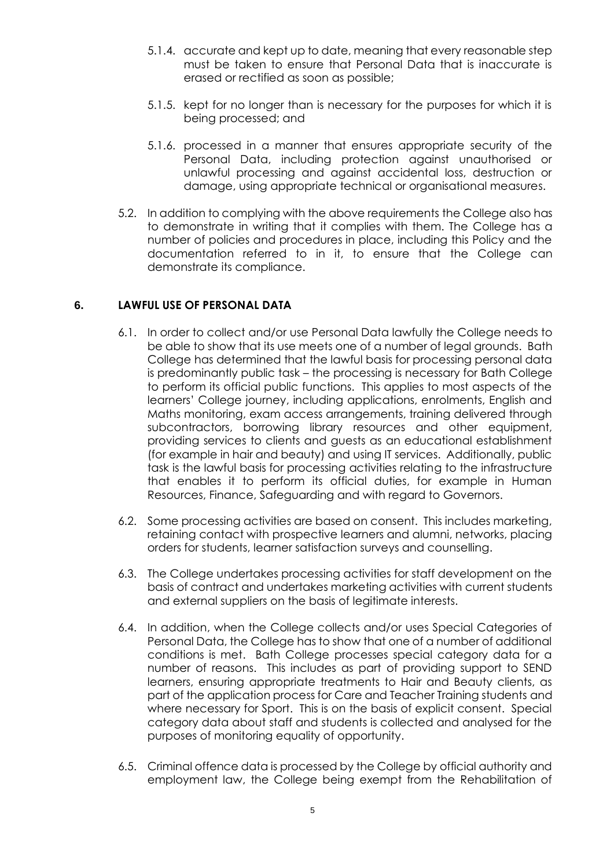- 5.1.4. accurate and kept up to date, meaning that every reasonable step must be taken to ensure that Personal Data that is inaccurate is erased or rectified as soon as possible;
- 5.1.5. kept for no longer than is necessary for the purposes for which it is being processed; and
- 5.1.6. processed in a manner that ensures appropriate security of the Personal Data, including protection against unauthorised or unlawful processing and against accidental loss, destruction or damage, using appropriate technical or organisational measures.
- 5.2. In addition to complying with the above requirements the College also has to demonstrate in writing that it complies with them. The College has a number of policies and procedures in place, including this Policy and the documentation referred to in it, to ensure that the College can demonstrate its compliance.

## <span id="page-4-1"></span><span id="page-4-0"></span>**6. LAWFUL USE OF PERSONAL DATA**

- 6.1. In order to collect and/or use Personal Data lawfully the College needs to be able to show that its use meets one of a number of legal grounds. Bath College has determined that the lawful basis for processing personal data is predominantly public task – the processing is necessary for Bath College to perform its official public functions. This applies to most aspects of the learners' College journey, including applications, enrolments, English and Maths monitoring, exam access arrangements, training delivered through subcontractors, borrowing library resources and other equipment, providing services to clients and guests as an educational establishment (for example in hair and beauty) and using IT services. Additionally, public task is the lawful basis for processing activities relating to the infrastructure that enables it to perform its official duties, for example in Human Resources, Finance, Safeguarding and with regard to Governors.
- 6.2. Some processing activities are based on consent. This includes marketing, retaining contact with prospective learners and alumni, networks, placing orders for students, learner satisfaction surveys and counselling.
- 6.3. The College undertakes processing activities for staff development on the basis of contract and undertakes marketing activities with current students and external suppliers on the basis of legitimate interests.
- 6.4. In addition, when the College collects and/or uses Special Categories of Personal Data, the College has to show that one of a number of additional conditions is met. Bath College processes special category data for a number of reasons. This includes as part of providing support to SEND learners, ensuring appropriate treatments to Hair and Beauty clients, as part of the application process for Care and Teacher Training students and where necessary for Sport. This is on the basis of explicit consent. Special category data about staff and students is collected and analysed for the purposes of monitoring equality of opportunity.
- 6.5. Criminal offence data is processed by the College by official authority and employment law, the College being exempt from the Rehabilitation of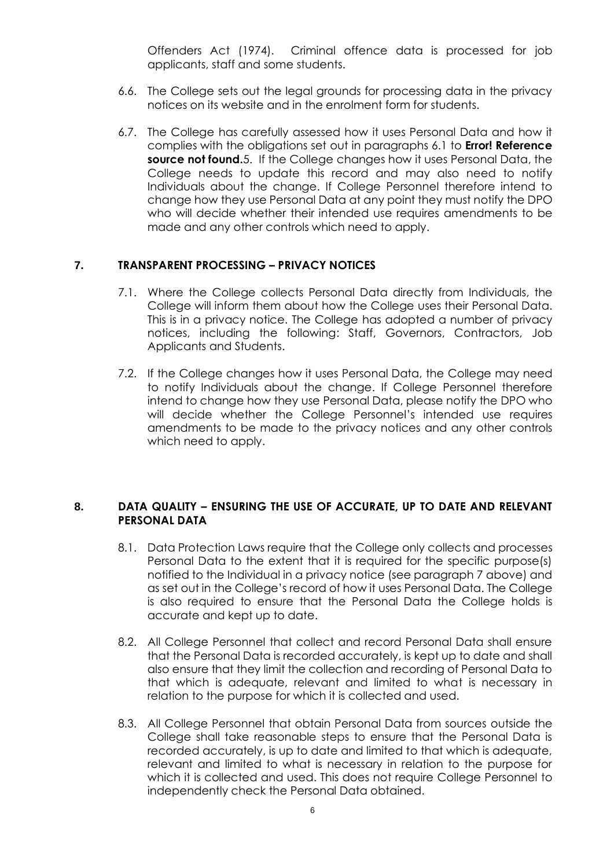Offenders Act (1974). Criminal offence data is processed for job applicants, staff and some students.

- 6.6. The College sets out the legal grounds for processing data in the privacy notices on its website and in the enrolment form for students.
- 6.7. The College has carefully assessed how it uses Personal Data and how it complies with the obligations set out in paragraphs [6.1](#page-4-1) to **Error! Reference source not found.**5. If the College changes how it uses Personal Data, the College needs to update this record and may also need to notify Individuals about the change. If College Personnel therefore intend to change how they use Personal Data at any point they must notify the DPO who will decide whether their intended use requires amendments to be made and any other controls which need to apply.

### <span id="page-5-0"></span>**7. TRANSPARENT PROCESSING – PRIVACY NOTICES**

- 7.1. Where the College collects Personal Data directly from Individuals, the College will inform them about how the College uses their Personal Data. This is in a privacy notice. The College has adopted a number of privacy notices, including the following: Staff, Governors, Contractors, Job Applicants and Students.
- 7.2. If the College changes how it uses Personal Data, the College may need to notify Individuals about the change. If College Personnel therefore intend to change how they use Personal Data, please notify the DPO who will decide whether the College Personnel's intended use requires amendments to be made to the privacy notices and any other controls which need to apply.

#### <span id="page-5-1"></span>**8. DATA QUALITY – ENSURING THE USE OF ACCURATE, UP TO DATE AND RELEVANT PERSONAL DATA**

- 8.1. Data Protection Laws require that the College only collects and processes Personal Data to the extent that it is required for the specific purpose(s) notified to the Individual in a privacy notice (see paragraph [7](#page-5-0) above) and as set out in the College's record of how it uses Personal Data. The College is also required to ensure that the Personal Data the College holds is accurate and kept up to date.
- 8.2. All College Personnel that collect and record Personal Data shall ensure that the Personal Data is recorded accurately, is kept up to date and shall also ensure that they limit the collection and recording of Personal Data to that which is adequate, relevant and limited to what is necessary in relation to the purpose for which it is collected and used.
- 8.3. All College Personnel that obtain Personal Data from sources outside the College shall take reasonable steps to ensure that the Personal Data is recorded accurately, is up to date and limited to that which is adequate, relevant and limited to what is necessary in relation to the purpose for which it is collected and used. This does not require College Personnel to independently check the Personal Data obtained.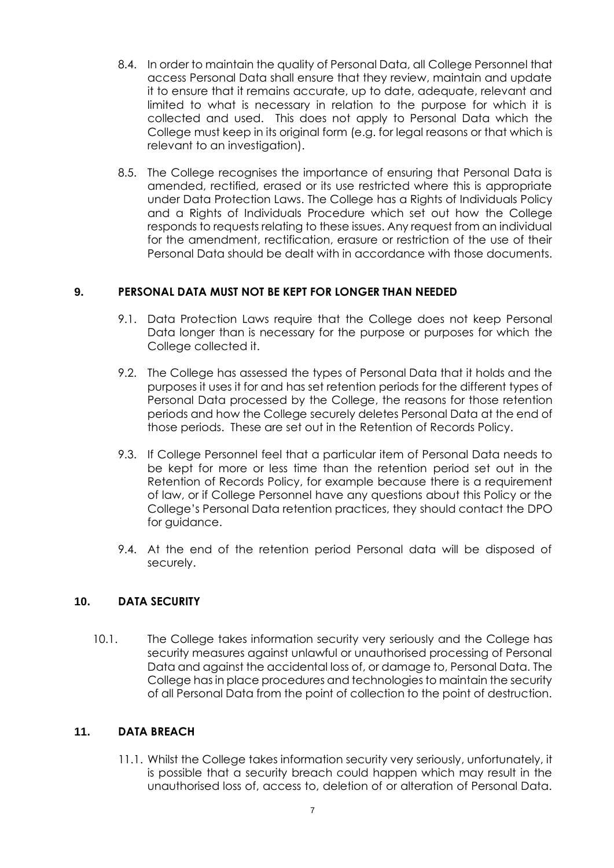- 8.4. In order to maintain the quality of Personal Data, all College Personnel that access Personal Data shall ensure that they review, maintain and update it to ensure that it remains accurate, up to date, adequate, relevant and limited to what is necessary in relation to the purpose for which it is collected and used. This does not apply to Personal Data which the College must keep in its original form (e.g. for legal reasons or that which is relevant to an investigation).
- 8.5. The College recognises the importance of ensuring that Personal Data is amended, rectified, erased or its use restricted where this is appropriate under Data Protection Laws. The College has a Rights of Individuals Policy and a Rights of Individuals Procedure which set out how the College responds to requests relating to these issues. Any request from an individual for the amendment, rectification, erasure or restriction of the use of their Personal Data should be dealt with in accordance with those documents.

## <span id="page-6-0"></span>**9. PERSONAL DATA MUST NOT BE KEPT FOR LONGER THAN NEEDED**

- 9.1. Data Protection Laws require that the College does not keep Personal Data longer than is necessary for the purpose or purposes for which the College collected it.
- 9.2. The College has assessed the types of Personal Data that it holds and the purposes it uses it for and has set retention periods for the different types of Personal Data processed by the College, the reasons for those retention periods and how the College securely deletes Personal Data at the end of those periods. These are set out in the Retention of Records Policy.
- 9.3. If College Personnel feel that a particular item of Personal Data needs to be kept for more or less time than the retention period set out in the Retention of Records Policy, for example because there is a requirement of law, or if College Personnel have any questions about this Policy or the College's Personal Data retention practices, they should contact the DPO for guidance.
- 9.4. At the end of the retention period Personal data will be disposed of securely.

## <span id="page-6-1"></span>**10. DATA SECURITY**

10.1. The College takes information security very seriously and the College has security measures against unlawful or unauthorised processing of Personal Data and against the accidental loss of, or damage to, Personal Data. The College has in place procedures and technologies to maintain the security of all Personal Data from the point of collection to the point of destruction.

## <span id="page-6-2"></span>**11. DATA BREACH**

11.1. Whilst the College takes information security very seriously, unfortunately, it is possible that a security breach could happen which may result in the unauthorised loss of, access to, deletion of or alteration of Personal Data.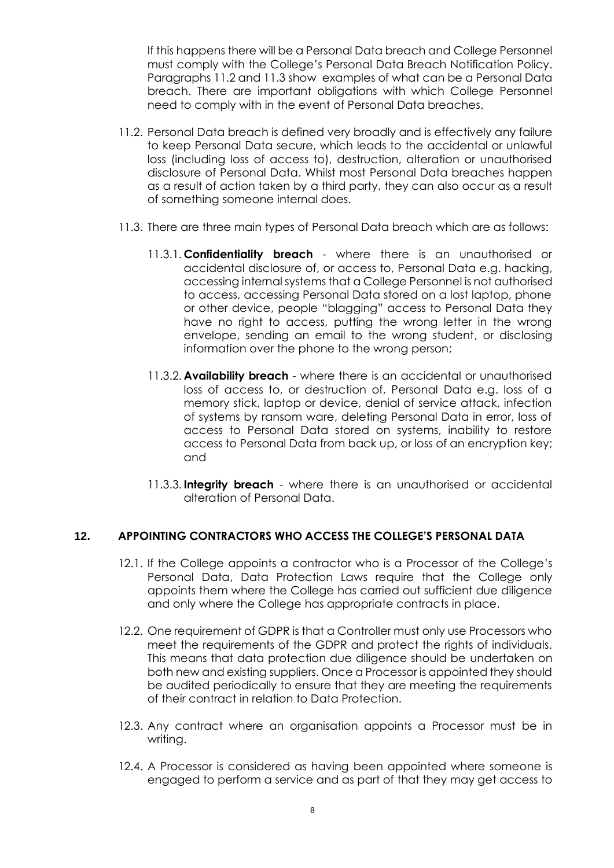If this happens there will be a Personal Data breach and College Personnel must comply with the College's Personal Data Breach Notification Policy. Paragraphs [11.2](#page-7-1) and [11.3](#page-7-2) show examples of what can be a Personal Data breach. There are important obligations with which College Personnel need to comply with in the event of Personal Data breaches.

- <span id="page-7-1"></span>11.2. Personal Data breach is defined very broadly and is effectively any failure to keep Personal Data secure, which leads to the accidental or unlawful loss (including loss of access to), destruction, alteration or unauthorised disclosure of Personal Data. Whilst most Personal Data breaches happen as a result of action taken by a third party, they can also occur as a result of something someone internal does.
- <span id="page-7-2"></span>11.3. There are three main types of Personal Data breach which are as follows:
	- 11.3.1. **Confidentiality breach** where there is an unauthorised or accidental disclosure of, or access to, Personal Data e.g. hacking, accessing internal systems that a College Personnel is not authorised to access, accessing Personal Data stored on a lost laptop, phone or other device, people "blagging" access to Personal Data they have no right to access, putting the wrong letter in the wrong envelope, sending an email to the wrong student, or disclosing information over the phone to the wrong person;
	- 11.3.2. **Availability breach** where there is an accidental or unauthorised loss of access to, or destruction of, Personal Data e.g. loss of a memory stick, laptop or device, denial of service attack, infection of systems by ransom ware, deleting Personal Data in error, loss of access to Personal Data stored on systems, inability to restore access to Personal Data from back up, or loss of an encryption key; and
	- 11.3.3. **Integrity breach** where there is an unauthorised or accidental alteration of Personal Data.

## <span id="page-7-0"></span>**12. APPOINTING CONTRACTORS WHO ACCESS THE COLLEGE'S PERSONAL DATA**

- 12.1. If the College appoints a contractor who is a Processor of the College's Personal Data, Data Protection Laws require that the College only appoints them where the College has carried out sufficient due diligence and only where the College has appropriate contracts in place.
- 12.2. One requirement of GDPR is that a Controller must only use Processors who meet the requirements of the GDPR and protect the rights of individuals. This means that data protection due diligence should be undertaken on both new and existing suppliers. Once a Processor is appointed they should be audited periodically to ensure that they are meeting the requirements of their contract in relation to Data Protection.
- 12.3. Any contract where an organisation appoints a Processor must be in writing.
- 12.4. A Processor is considered as having been appointed where someone is engaged to perform a service and as part of that they may get access to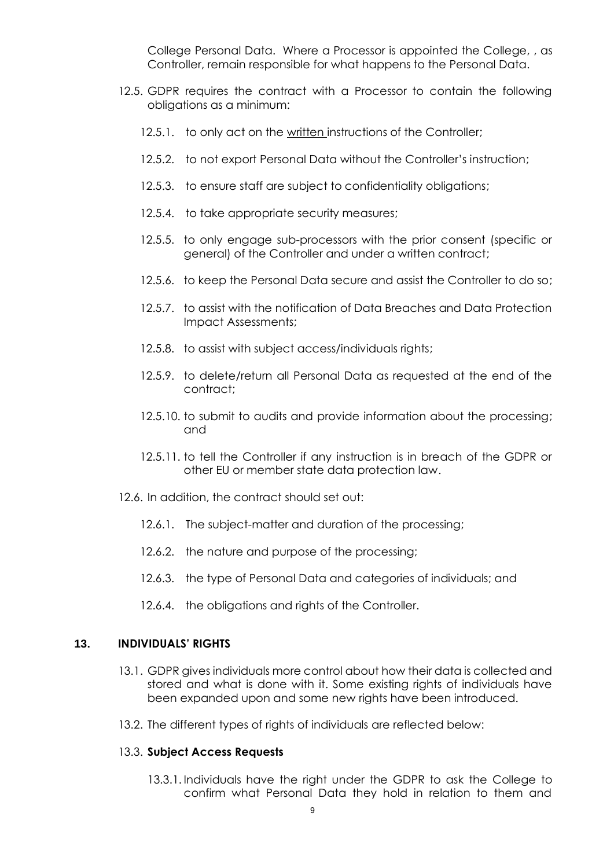College Personal Data. Where a Processor is appointed the College, , as Controller, remain responsible for what happens to the Personal Data.

- 12.5. GDPR requires the contract with a Processor to contain the following obligations as a minimum:
	- 12.5.1. to only act on the written instructions of the Controller;
	- 12.5.2. to not export Personal Data without the Controller's instruction;
	- 12.5.3. to ensure staff are subject to confidentiality obligations;
	- 12.5.4. to take appropriate security measures;
	- 12.5.5. to only engage sub-processors with the prior consent (specific or general) of the Controller and under a written contract;
	- 12.5.6. to keep the Personal Data secure and assist the Controller to do so;
	- 12.5.7. to assist with the notification of Data Breaches and Data Protection Impact Assessments;
	- 12.5.8. to assist with subject access/individuals rights;
	- 12.5.9. to delete/return all Personal Data as requested at the end of the contract;
	- 12.5.10. to submit to audits and provide information about the processing; and
	- 12.5.11. to tell the Controller if any instruction is in breach of the GDPR or other EU or member state data protection law.
- 12.6. In addition, the contract should set out:
	- 12.6.1. The subject-matter and duration of the processing;
	- 12.6.2. the nature and purpose of the processing;
	- 12.6.3. the type of Personal Data and categories of individuals; and
	- 12.6.4. the obligations and rights of the Controller.

#### <span id="page-8-0"></span>**13. INDIVIDUALS' RIGHTS**

- 13.1. GDPR gives individuals more control about how their data is collected and stored and what is done with it. Some existing rights of individuals have been expanded upon and some new rights have been introduced.
- 13.2. The different types of rights of individuals are reflected below:

#### 13.3. **Subject Access Requests**

13.3.1. Individuals have the right under the GDPR to ask the College to confirm what Personal Data they hold in relation to them and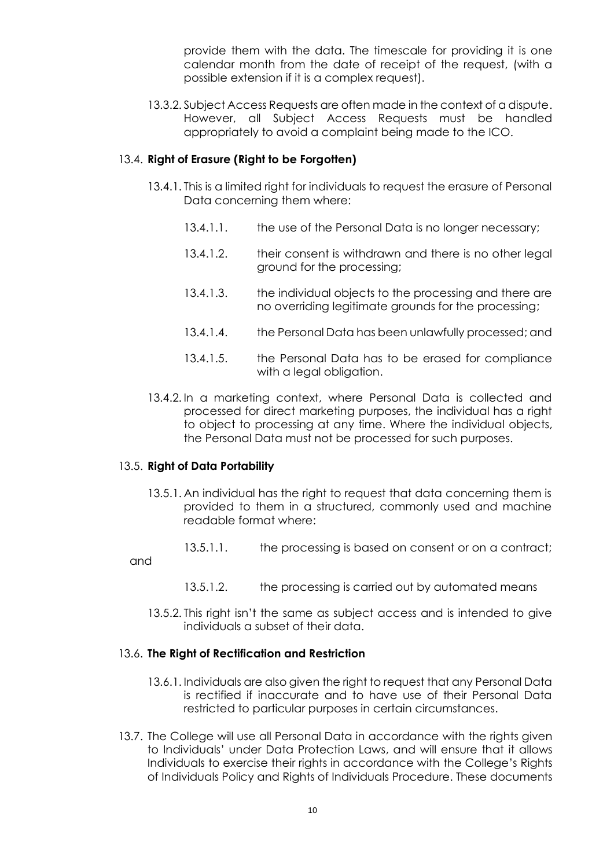provide them with the data. The timescale for providing it is one calendar month from the date of receipt of the request, (with a possible extension if it is a complex request).

13.3.2. Subject Access Requests are often made in the context of a dispute. However, all Subject Access Requests must be handled appropriately to avoid a complaint being made to the ICO.

#### 13.4. **Right of Erasure (Right to be Forgotten)**

- 13.4.1. This is a limited right for individuals to request the erasure of Personal Data concerning them where:
	- 13.4.1.1. the use of the Personal Data is no longer necessary;
	- 13.4.1.2. their consent is withdrawn and there is no other legal ground for the processing;
	- 13.4.1.3. the individual objects to the processing and there are no overriding legitimate grounds for the processing;
	- 13.4.1.4. the Personal Data has been unlawfully processed; and
	- 13.4.1.5. the Personal Data has to be erased for compliance with a legal obligation.
- 13.4.2. In a marketing context, where Personal Data is collected and processed for direct marketing purposes, the individual has a right to object to processing at any time. Where the individual objects, the Personal Data must not be processed for such purposes.

#### 13.5. **Right of Data Portability**

- 13.5.1. An individual has the right to request that data concerning them is provided to them in a structured, commonly used and machine readable format where:
	- 13.5.1.1. the processing is based on consent or on a contract;
- and
- 13.5.1.2. the processing is carried out by automated means
- 13.5.2. This right isn't the same as subject access and is intended to give individuals a subset of their data.

#### 13.6. **The Right of Rectification and Restriction**

- 13.6.1. Individuals are also given the right to request that any Personal Data is rectified if inaccurate and to have use of their Personal Data restricted to particular purposes in certain circumstances.
- 13.7. The College will use all Personal Data in accordance with the rights given to Individuals' under Data Protection Laws, and will ensure that it allows Individuals to exercise their rights in accordance with the College's Rights of Individuals Policy and Rights of Individuals Procedure. These documents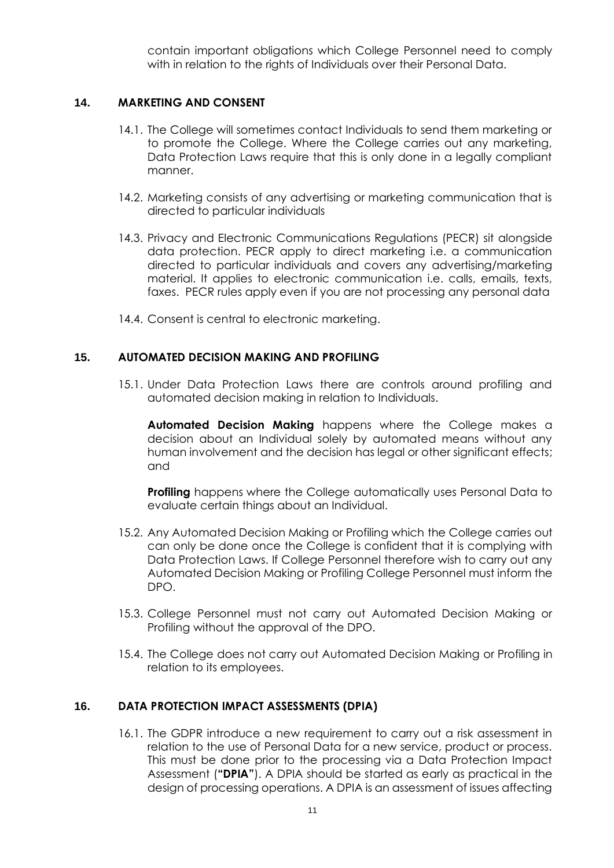contain important obligations which College Personnel need to comply with in relation to the rights of Individuals over their Personal Data.

#### <span id="page-10-0"></span>**14. MARKETING AND CONSENT**

- 14.1. The College will sometimes contact Individuals to send them marketing or to promote the College. Where the College carries out any marketing, Data Protection Laws require that this is only done in a legally compliant manner.
- 14.2. Marketing consists of any advertising or marketing communication that is directed to particular individuals
- 14.3. Privacy and Electronic Communications Regulations (PECR) sit alongside data protection. PECR apply to direct marketing i.e. a communication directed to particular individuals and covers any advertising/marketing material. It applies to electronic communication i.e. calls, emails, texts, faxes. PECR rules apply even if you are not processing any personal data
- 14.4. Consent is central to electronic marketing.

#### <span id="page-10-1"></span>**15. AUTOMATED DECISION MAKING AND PROFILING**

15.1. Under Data Protection Laws there are controls around profiling and automated decision making in relation to Individuals.

**Automated Decision Making** happens where the College makes a decision about an Individual solely by automated means without any human involvement and the decision has legal or other significant effects; and

**Profiling** happens where the College automatically uses Personal Data to evaluate certain things about an Individual.

- 15.2. Any Automated Decision Making or Profiling which the College carries out can only be done once the College is confident that it is complying with Data Protection Laws. If College Personnel therefore wish to carry out any Automated Decision Making or Profiling College Personnel must inform the DPO.
- 15.3. College Personnel must not carry out Automated Decision Making or Profiling without the approval of the DPO.
- 15.4. The College does not carry out Automated Decision Making or Profiling in relation to its employees.

## <span id="page-10-2"></span>**16. DATA PROTECTION IMPACT ASSESSMENTS (DPIA)**

16.1. The GDPR introduce a new requirement to carry out a risk assessment in relation to the use of Personal Data for a new service, product or process. This must be done prior to the processing via a Data Protection Impact Assessment (**"DPIA"**). A DPIA should be started as early as practical in the design of processing operations. A DPIA is an assessment of issues affecting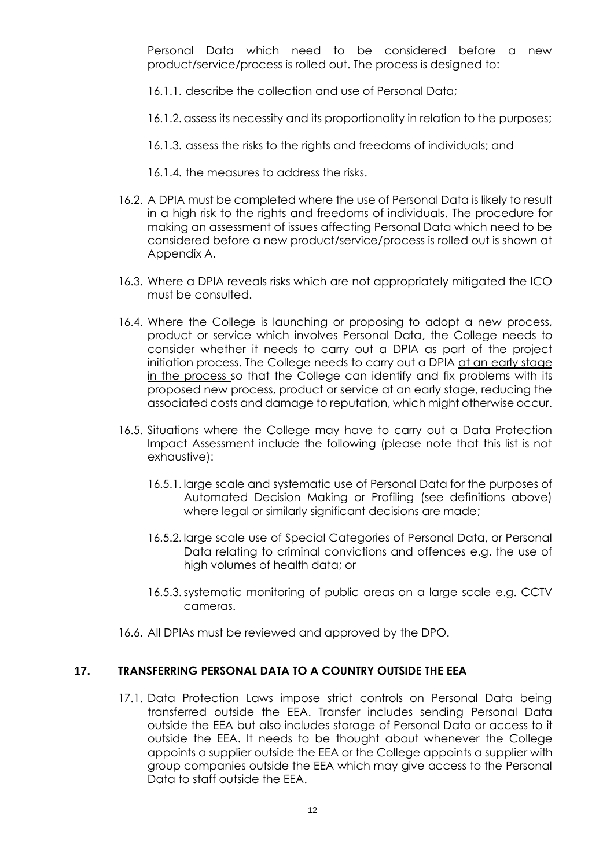Personal Data which need to be considered before a new product/service/process is rolled out. The process is designed to:

- 16.1.1. describe the collection and use of Personal Data;
- 16.1.2. assess its necessity and its proportionality in relation to the purposes;
- 16.1.3. assess the risks to the rights and freedoms of individuals; and
- 16.1.4. the measures to address the risks.
- 16.2. A DPIA must be completed where the use of Personal Data is likely to result in a high risk to the rights and freedoms of individuals. The procedure for making an assessment of issues affecting Personal Data which need to be considered before a new product/service/process is rolled out is shown at Appendix A.
- 16.3. Where a DPIA reveals risks which are not appropriately mitigated the ICO must be consulted.
- 16.4. Where the College is launching or proposing to adopt a new process, product or service which involves Personal Data, the College needs to consider whether it needs to carry out a DPIA as part of the project initiation process. The College needs to carry out a DPIA at an early stage in the process so that the College can identify and fix problems with its proposed new process, product or service at an early stage, reducing the associated costs and damage to reputation, which might otherwise occur.
- 16.5. Situations where the College may have to carry out a Data Protection Impact Assessment include the following (please note that this list is not exhaustive):
	- 16.5.1. large scale and systematic use of Personal Data for the purposes of Automated Decision Making or Profiling (see definitions above) where legal or similarly significant decisions are made;
	- 16.5.2. large scale use of Special Categories of Personal Data, or Personal Data relating to criminal convictions and offences e.g. the use of high volumes of health data; or
	- 16.5.3.systematic monitoring of public areas on a large scale e.g. CCTV cameras.
- 16.6. All DPIAs must be reviewed and approved by the DPO.

## <span id="page-11-0"></span>**17. TRANSFERRING PERSONAL DATA TO A COUNTRY OUTSIDE THE EEA**

17.1. Data Protection Laws impose strict controls on Personal Data being transferred outside the EEA. Transfer includes sending Personal Data outside the EEA but also includes storage of Personal Data or access to it outside the EEA. It needs to be thought about whenever the College appoints a supplier outside the EEA or the College appoints a supplier with group companies outside the EEA which may give access to the Personal Data to staff outside the EEA.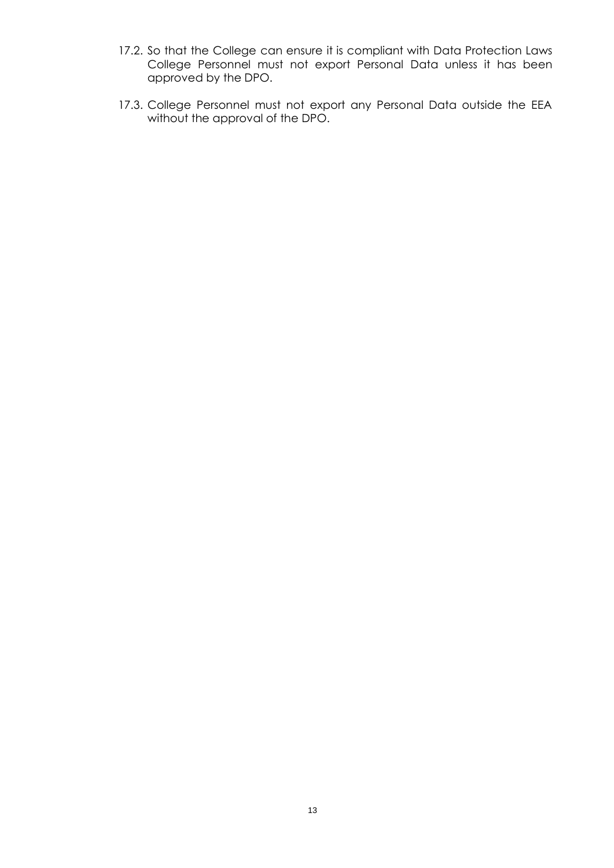- 17.2. So that the College can ensure it is compliant with Data Protection Laws College Personnel must not export Personal Data unless it has been approved by the DPO.
- 17.3. College Personnel must not export any Personal Data outside the EEA without the approval of the DPO.